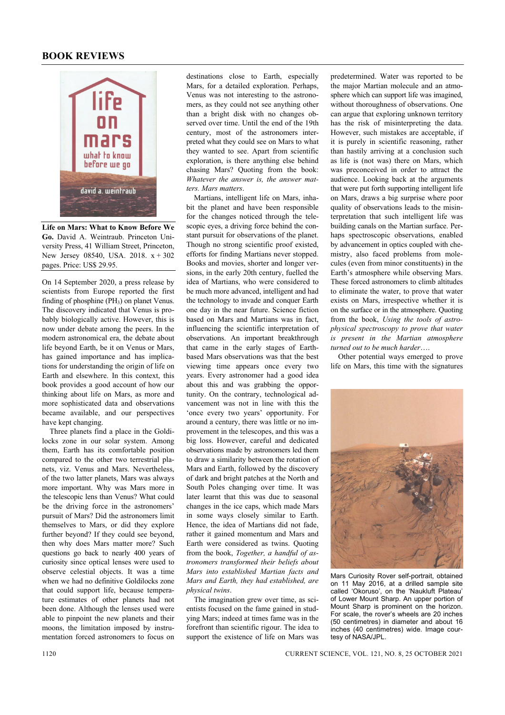## **BOOK REVIEWS**



**Life on Mars: What to Know Before We Go.** David A. Weintraub. Princeton University Press, 41 William Street, Princeton, New Jersey 08540, USA. 2018. x + 302 pages. Price: US\$ 29.95.

On 14 September 2020, a press release by scientists from Europe reported the first finding of phosphine  $(PH_3)$  on planet Venus. The discovery indicated that Venus is probably biologically active. However, this is now under debate among the peers. In the modern astronomical era, the debate about life beyond Earth, be it on Venus or Mars, has gained importance and has implications for understanding the origin of life on Earth and elsewhere. In this context, this book provides a good account of how our thinking about life on Mars, as more and more sophisticated data and observations became available, and our perspectives have kept changing.

 Three planets find a place in the Goldilocks zone in our solar system. Among them, Earth has its comfortable position compared to the other two terrestrial planets, viz. Venus and Mars. Nevertheless, of the two latter planets, Mars was always more important. Why was Mars more in the telescopic lens than Venus? What could be the driving force in the astronomers' pursuit of Mars? Did the astronomers limit themselves to Mars, or did they explore further beyond? If they could see beyond, then why does Mars matter more? Such questions go back to nearly 400 years of curiosity since optical lenses were used to observe celestial objects. It was a time when we had no definitive Goldilocks zone that could support life, because temperature estimates of other planets had not been done. Although the lenses used were able to pinpoint the new planets and their moons, the limitation imposed by instrumentation forced astronomers to focus on destinations close to Earth, especially Mars, for a detailed exploration. Perhaps, Venus was not interesting to the astronomers, as they could not see anything other than a bright disk with no changes observed over time. Until the end of the 19th century, most of the astronomers interpreted what they could see on Mars to what they wanted to see. Apart from scientific exploration, is there anything else behind chasing Mars? Quoting from the book: *Whatever the answer is, the answer matters. Mars matters*.

 Martians, intelligent life on Mars, inhabit the planet and have been responsible for the changes noticed through the telescopic eyes, a driving force behind the constant pursuit for observations of the planet. Though no strong scientific proof existed, efforts for finding Martians never stopped. Books and movies, shorter and longer versions, in the early 20th century, fuelled the idea of Martians, who were considered to be much more advanced, intelligent and had the technology to invade and conquer Earth one day in the near future. Science fiction based on Mars and Martians was in fact, influencing the scientific interpretation of observations. An important breakthrough that came in the early stages of Earthbased Mars observations was that the best viewing time appears once every two years. Every astronomer had a good idea about this and was grabbing the opportunity. On the contrary, technological advancement was not in line with this the 'once every two years' opportunity. For around a century, there was little or no improvement in the telescopes, and this was a big loss. However, careful and dedicated observations made by astronomers led them to draw a similarity between the rotation of Mars and Earth, followed by the discovery of dark and bright patches at the North and South Poles changing over time. It was later learnt that this was due to seasonal changes in the ice caps, which made Mars in some ways closely similar to Earth. Hence, the idea of Martians did not fade, rather it gained momentum and Mars and Earth were considered as twins. Quoting from the book, *Together, a handful of astronomers transformed their beliefs about Mars into established Martian facts and Mars and Earth, they had established, are physical twins*.

 The imagination grew over time, as scientists focused on the fame gained in studying Mars; indeed at times fame was in the forefront than scientific rigour. The idea to support the existence of life on Mars was

predetermined. Water was reported to be the major Martian molecule and an atmosphere which can support life was imagined, without thoroughness of observations. One can argue that exploring unknown territory has the risk of misinterpreting the data. However, such mistakes are acceptable, if it is purely in scientific reasoning, rather than hastily arriving at a conclusion such as life is (not was) there on Mars, which was preconceived in order to attract the audience. Looking back at the arguments that were put forth supporting intelligent life on Mars, draws a big surprise where poor quality of observations leads to the misinterpretation that such intelligent life was building canals on the Martian surface. Perhaps spectroscopic observations, enabled by advancement in optics coupled with chemistry, also faced problems from molecules (even from minor constituents) in the Earth's atmosphere while observing Mars. These forced astronomers to climb altitudes to eliminate the water, to prove that water exists on Mars, irrespective whether it is on the surface or in the atmosphere. Quoting from the book, *Using the tools of astrophysical spectroscopy to prove that water is present in the Martian atmosphere turned out to be much harder*….

 Other potential ways emerged to prove life on Mars, this time with the signatures



Mars Curiosity Rover self-portrait, obtained on 11 May 2016, at a drilled sample site called 'Okoruso', on the 'Naukluft Plateau' of Lower Mount Sharp. An upper portion of Mount Sharp is prominent on the horizon. For scale, the rover's wheels are 20 inches (50 centimetres) in diameter and about 16 inches (40 centimetres) wide. Image courtesy of NASA/JPL.